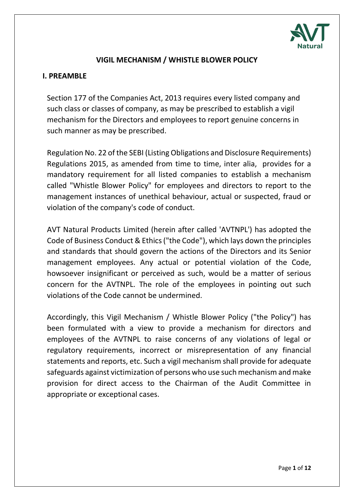

## **VIGIL MECHANISM / WHISTLE BLOWER POLICY**

#### **I. PREAMBLE**

Section 177 of the Companies Act, 2013 requires every listed company and such class or classes of company, as may be prescribed to establish a vigil mechanism for the Directors and employees to report genuine concerns in such manner as may be prescribed.

Regulation No. 22 of the SEBI (Listing Obligations and Disclosure Requirements) Regulations 2015, as amended from time to time, inter alia, provides for a mandatory requirement for all listed companies to establish a mechanism called "Whistle Blower Policy" for employees and directors to report to the management instances of unethical behaviour, actual or suspected, fraud or violation of the company's code of conduct.

AVT Natural Products Limited (herein after called 'AVTNPL') has adopted the Code of Business Conduct & Ethics ("the Code"), which lays down the principles and standards that should govern the actions of the Directors and its Senior management employees. Any actual or potential violation of the Code, howsoever insignificant or perceived as such, would be a matter of serious concern for the AVTNPL. The role of the employees in pointing out such violations of the Code cannot be undermined.

Accordingly, this Vigil Mechanism / Whistle Blower Policy ("the Policy") has been formulated with a view to provide a mechanism for directors and employees of the AVTNPL to raise concerns of any violations of legal or regulatory requirements, incorrect or misrepresentation of any financial statements and reports, etc. Such a vigil mechanism shall provide for adequate safeguards against victimization of persons who use such mechanism and make provision for direct access to the Chairman of the Audit Committee in appropriate or exceptional cases.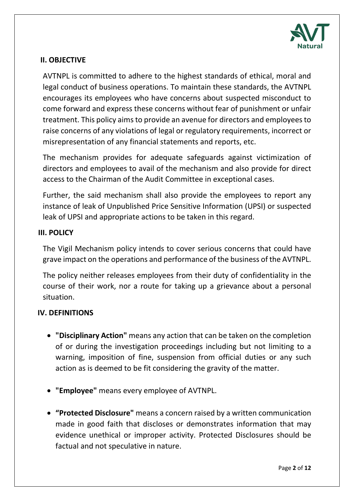

## **II. OBJECTIVE**

AVTNPL is committed to adhere to the highest standards of ethical, moral and legal conduct of business operations. To maintain these standards, the AVTNPL encourages its employees who have concerns about suspected misconduct to come forward and express these concerns without fear of punishment or unfair treatment. This policy aims to provide an avenue for directors and employees to raise concerns of any violations of legal or regulatory requirements, incorrect or misrepresentation of any financial statements and reports, etc.

The mechanism provides for adequate safeguards against victimization of directors and employees to avail of the mechanism and also provide for direct access to the Chairman of the Audit Committee in exceptional cases.

Further, the said mechanism shall also provide the employees to report any instance of leak of Unpublished Price Sensitive Information (UPSI) or suspected leak of UPSI and appropriate actions to be taken in this regard.

## **III. POLICY**

The Vigil Mechanism policy intends to cover serious concerns that could have grave impact on the operations and performance of the business of the AVTNPL.

The policy neither releases employees from their duty of confidentiality in the course of their work, nor a route for taking up a grievance about a personal situation.

## **IV. DEFINITIONS**

- **"Disciplinary Action"** means any action that can be taken on the completion of or during the investigation proceedings including but not limiting to a warning, imposition of fine, suspension from official duties or any such action as is deemed to be fit considering the gravity of the matter.
- **"Employee"** means every employee of AVTNPL.
- **"Protected Disclosure"** means a concern raised by a written communication made in good faith that discloses or demonstrates information that may evidence unethical or improper activity. Protected Disclosures should be factual and not speculative in nature.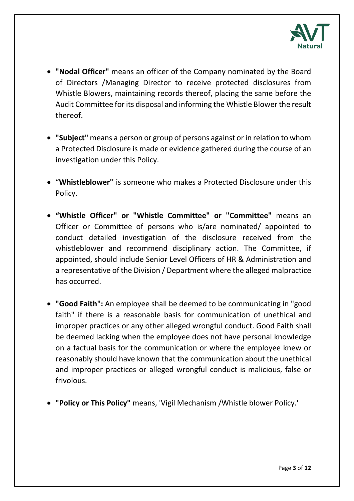

- **"Nodal Officer"** means an officer of the Company nominated by the Board of Directors /Managing Director to receive protected disclosures from Whistle Blowers, maintaining records thereof, placing the same before the Audit Committee for its disposal and informing the Whistle Blower the result thereof.
- **"Subject"** means a person or group of persons against or in relation to whom a Protected Disclosure is made or evidence gathered during the course of an investigation under this Policy.
- "**Whistleblower''** is someone who makes a Protected Disclosure under this Policy.
- **"Whistle Officer" or "Whistle Committee" or "Committee"** means an Officer or Committee of persons who is/are nominated/ appointed to conduct detailed investigation of the disclosure received from the whistleblower and recommend disciplinary action. The Committee, if appointed, should include Senior Level Officers of HR & Administration and a representative of the Division / Department where the alleged malpractice has occurred.
- **"Good Faith":** An employee shall be deemed to be communicating in "good faith" if there is a reasonable basis for communication of unethical and improper practices or any other alleged wrongful conduct. Good Faith shall be deemed lacking when the employee does not have personal knowledge on a factual basis for the communication or where the employee knew or reasonably should have known that the communication about the unethical and improper practices or alleged wrongful conduct is malicious, false or frivolous.
- **"Policy or This Policy"** means, 'Vigil Mechanism /Whistle blower Policy.'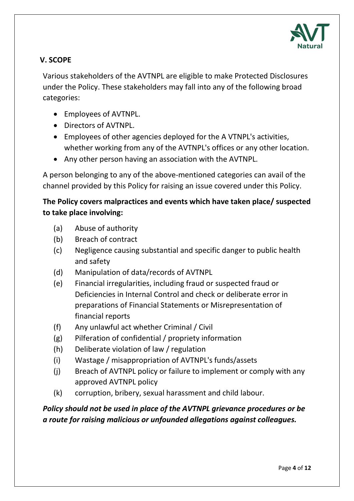

# **V. SCOPE**

Various stakeholders of the AVTNPL are eligible to make Protected Disclosures under the Policy. These stakeholders may fall into any of the following broad categories:

- Employees of AVTNPL.
- Directors of AVTNPL.
- Employees of other agencies deployed for the A VTNPL's activities, whether working from any of the AVTNPL's offices or any other location.
- Any other person having an association with the AVTNPL.

A person belonging to any of the above-mentioned categories can avail of the channel provided by this Policy for raising an issue covered under this Policy.

# **The Policy covers malpractices and events which have taken place/ suspected to take place involving:**

- (a) Abuse of authority
- (b) Breach of contract
- (c) Negligence causing substantial and specific danger to public health and safety
- (d) Manipulation of data/records of AVTNPL
- (e) Financial irregularities, including fraud or suspected fraud or Deficiencies in Internal Control and check or deliberate error in preparations of Financial Statements or Misrepresentation of financial reports
- (f) Any unlawful act whether Criminal / Civil
- (g) Pilferation of confidential / propriety information
- (h) Deliberate violation of law / regulation
- (i) Wastage / misappropriation of AVTNPL's funds/assets
- (j) Breach of AVTNPL policy or failure to implement or comply with any approved AVTNPL policy
- (k) corruption, bribery, sexual harassment and child labour.

*Policy should not be used in place of the AVTNPL grievance procedures or be a route for raising malicious or unfounded allegations against colleagues.*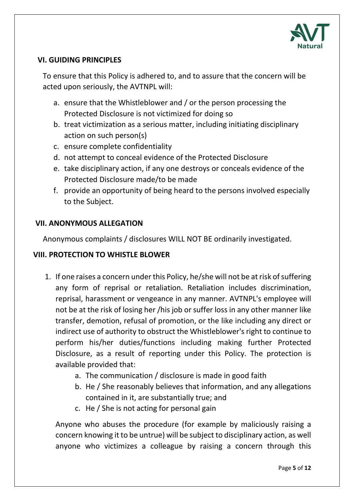

## **VI. GUIDING PRINCIPLES**

To ensure that this Policy is adhered to, and to assure that the concern will be acted upon seriously, the AVTNPL will:

- a. ensure that the Whistleblower and / or the person processing the Protected Disclosure is not victimized for doing so
- b. treat victimization as a serious matter, including initiating disciplinary action on such person(s)
- c. ensure complete confidentiality
- d. not attempt to conceal evidence of the Protected Disclosure
- e. take disciplinary action, if any one destroys or conceals evidence of the Protected Disclosure made/to be made
- f. provide an opportunity of being heard to the persons involved especially to the Subject.

### **VII. ANONYMOUS ALLEGATION**

Anonymous complaints / disclosures WILL NOT BE ordinarily investigated.

### **VIII. PROTECTION TO WHISTLE BLOWER**

- 1. If one raises a concern under this Policy, he/she will not be at risk of suffering any form of reprisal or retaliation. Retaliation includes discrimination, reprisal, harassment or vengeance in any manner. AVTNPL's employee will not be at the risk of losing her /his job or suffer loss in any other manner like transfer, demotion, refusal of promotion, or the like including any direct or indirect use of authority to obstruct the Whistleblower's right to continue to perform his/her duties/functions including making further Protected Disclosure, as a result of reporting under this Policy. The protection is available provided that:
	- a. The communication / disclosure is made in good faith
	- b. He / She reasonably believes that information, and any allegations contained in it, are substantially true; and
	- c. He / She is not acting for personal gain

Anyone who abuses the procedure (for example by maliciously raising a concern knowing it to be untrue) will be subject to disciplinary action, as well anyone who victimizes a colleague by raising a concern through this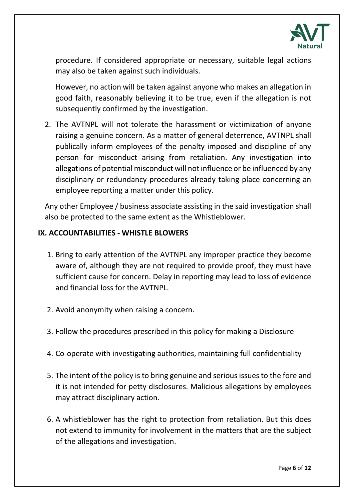

procedure. If considered appropriate or necessary, suitable legal actions may also be taken against such individuals.

However, no action will be taken against anyone who makes an allegation in good faith, reasonably believing it to be true, even if the allegation is not subsequently confirmed by the investigation.

2. The AVTNPL will not tolerate the harassment or victimization of anyone raising a genuine concern. As a matter of general deterrence, AVTNPL shall publically inform employees of the penalty imposed and discipline of any person for misconduct arising from retaliation. Any investigation into allegations of potential misconduct will not influence or be influenced by any disciplinary or redundancy procedures already taking place concerning an employee reporting a matter under this policy.

Any other Employee / business associate assisting in the said investigation shall also be protected to the same extent as the Whistleblower.

## **IX. ACCOUNTABILITIES - WHISTLE BLOWERS**

- 1. Bring to early attention of the AVTNPL any improper practice they become aware of, although they are not required to provide proof, they must have sufficient cause for concern. Delay in reporting may lead to loss of evidence and financial loss for the AVTNPL.
- 2. Avoid anonymity when raising a concern.
- 3. Follow the procedures prescribed in this policy for making a Disclosure
- 4. Co-operate with investigating authorities, maintaining full confidentiality
- 5. The intent of the policy is to bring genuine and serious issues to the fore and it is not intended for petty disclosures. Malicious allegations by employees may attract disciplinary action.
- 6. A whistleblower has the right to protection from retaliation. But this does not extend to immunity for involvement in the matters that are the subject of the allegations and investigation.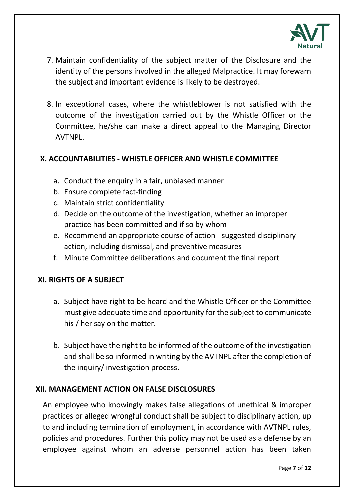

- 7. Maintain confidentiality of the subject matter of the Disclosure and the identity of the persons involved in the alleged Malpractice. It may forewarn the subject and important evidence is likely to be destroyed.
- 8. In exceptional cases, where the whistleblower is not satisfied with the outcome of the investigation carried out by the Whistle Officer or the Committee, he/she can make a direct appeal to the Managing Director AVTNPL.

## **X. ACCOUNTABILITIES - WHISTLE OFFICER AND WHISTLE COMMITTEE**

- a. Conduct the enquiry in a fair, unbiased manner
- b. Ensure complete fact-finding
- c. Maintain strict confidentiality
- d. Decide on the outcome of the investigation, whether an improper practice has been committed and if so by whom
- e. Recommend an appropriate course of action suggested disciplinary action, including dismissal, and preventive measures
- f. Minute Committee deliberations and document the final report

## **XI. RIGHTS OF A SUBJECT**

- a. Subject have right to be heard and the Whistle Officer or the Committee must give adequate time and opportunity for the subject to communicate his / her say on the matter.
- b. Subject have the right to be informed of the outcome of the investigation and shall be so informed in writing by the AVTNPL after the completion of the inquiry/ investigation process.

## **XII. MANAGEMENT ACTION ON FALSE DISCLOSURES**

An employee who knowingly makes false allegations of unethical & improper practices or alleged wrongful conduct shall be subject to disciplinary action, up to and including termination of employment, in accordance with AVTNPL rules, policies and procedures. Further this policy may not be used as a defense by an employee against whom an adverse personnel action has been taken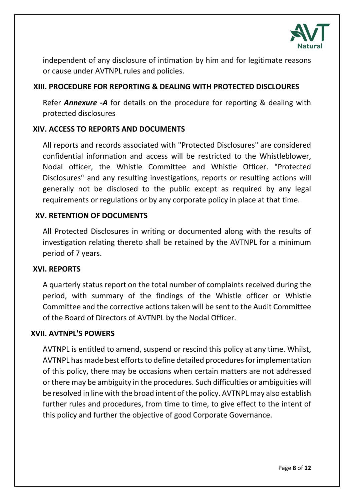

independent of any disclosure of intimation by him and for legitimate reasons or cause under AVTNPL rules and policies.

## **XIII. PROCEDURE FOR REPORTING & DEALING WITH PROTECTED DISCLOURES**

Refer *Annexure -A* for details on the procedure for reporting & dealing with protected disclosures

## **XIV. ACCESS TO REPORTS AND DOCUMENTS**

All reports and records associated with "Protected Disclosures" are considered confidential information and access will be restricted to the Whistleblower, Nodal officer, the Whistle Committee and Whistle Officer. "Protected Disclosures" and any resulting investigations, reports or resulting actions will generally not be disclosed to the public except as required by any legal requirements or regulations or by any corporate policy in place at that time.

## **XV. RETENTION OF DOCUMENTS**

All Protected Disclosures in writing or documented along with the results of investigation relating thereto shall be retained by the AVTNPL for a minimum period of 7 years.

## **XVI. REPORTS**

A quarterly status report on the total number of complaints received during the period, with summary of the findings of the Whistle officer or Whistle Committee and the corrective actions taken will be sent to the Audit Committee of the Board of Directors of AVTNPL by the Nodal Officer.

## **XVII. AVTNPL'S POWERS**

AVTNPL is entitled to amend, suspend or rescind this policy at any time. Whilst, AVTNPL has made best efforts to define detailed procedures for implementation of this policy, there may be occasions when certain matters are not addressed or there may be ambiguity in the procedures. Such difficulties or ambiguities will be resolved in line with the broad intent of the policy. AVTNPL may also establish further rules and procedures, from time to time, to give effect to the intent of this policy and further the objective of good Corporate Governance.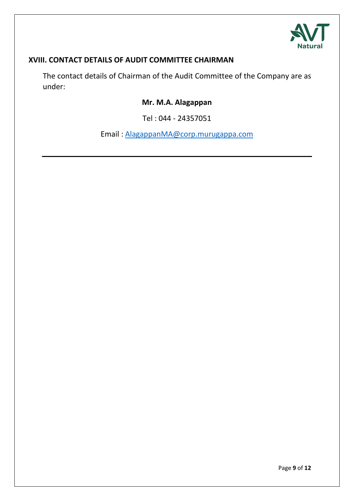

# **XVIII. CONTACT DETAILS OF AUDIT COMMITTEE CHAIRMAN**

The contact details of Chairman of the Audit Committee of the Company are as under:

# **Mr. M.A. Alagappan**

Tel : 044 - 24357051

Email : [AlagappanMA@corp.murugappa.com](mailto:AlagappanMA@corp.murugappa.com)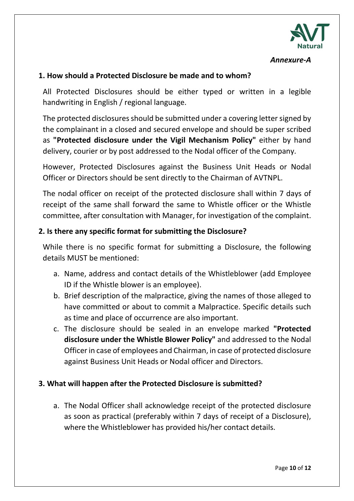

#### *Annexure-A*

### **1. How should a Protected Disclosure be made and to whom?**

All Protected Disclosures should be either typed or written in a legible handwriting in English / regional language.

The protected disclosures should be submitted under a covering letter signed by the complainant in a closed and secured envelope and should be super scribed as **"Protected disclosure under the Vigil Mechanism Policy"** either by hand delivery, courier or by post addressed to the Nodal officer of the Company.

However, Protected Disclosures against the Business Unit Heads or Nodal Officer or Directors should be sent directly to the Chairman of AVTNPL.

The nodal officer on receipt of the protected disclosure shall within 7 days of receipt of the same shall forward the same to Whistle officer or the Whistle committee, after consultation with Manager, for investigation of the complaint.

#### **2. Is there any specific format for submitting the Disclosure?**

While there is no specific format for submitting a Disclosure, the following details MUST be mentioned:

- a. Name, address and contact details of the Whistleblower (add Employee ID if the Whistle blower is an employee).
- b. Brief description of the malpractice, giving the names of those alleged to have committed or about to commit a Malpractice. Specific details such as time and place of occurrence are also important.
- c. The disclosure should be sealed in an envelope marked **"Protected disclosure under the Whistle Blower Policy"** and addressed to the Nodal Officer in case of employees and Chairman, in case of protected disclosure against Business Unit Heads or Nodal officer and Directors.

## **3. What will happen after the Protected Disclosure is submitted?**

a. The Nodal Officer shall acknowledge receipt of the protected disclosure as soon as practical (preferably within 7 days of receipt of a Disclosure), where the Whistleblower has provided his/her contact details.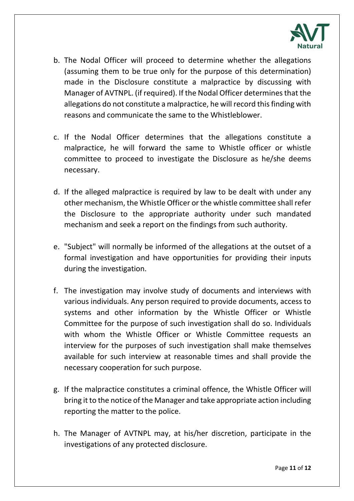

- b. The Nodal Officer will proceed to determine whether the allegations (assuming them to be true only for the purpose of this determination) made in the Disclosure constitute a malpractice by discussing with Manager of AVTNPL. (if required). If the Nodal Officer determines that the allegations do not constitute a malpractice, he will record this finding with reasons and communicate the same to the Whistleblower.
- c. If the Nodal Officer determines that the allegations constitute a malpractice, he will forward the same to Whistle officer or whistle committee to proceed to investigate the Disclosure as he/she deems necessary.
- d. If the alleged malpractice is required by law to be dealt with under any other mechanism, the Whistle Officer or the whistle committee shall refer the Disclosure to the appropriate authority under such mandated mechanism and seek a report on the findings from such authority.
- e. "Subject" will normally be informed of the allegations at the outset of a formal investigation and have opportunities for providing their inputs during the investigation.
- f. The investigation may involve study of documents and interviews with various individuals. Any person required to provide documents, access to systems and other information by the Whistle Officer or Whistle Committee for the purpose of such investigation shall do so. Individuals with whom the Whistle Officer or Whistle Committee requests an interview for the purposes of such investigation shall make themselves available for such interview at reasonable times and shall provide the necessary cooperation for such purpose.
- g. If the malpractice constitutes a criminal offence, the Whistle Officer will bring it to the notice of the Manager and take appropriate action including reporting the matter to the police.
- h. The Manager of AVTNPL may, at his/her discretion, participate in the investigations of any protected disclosure.